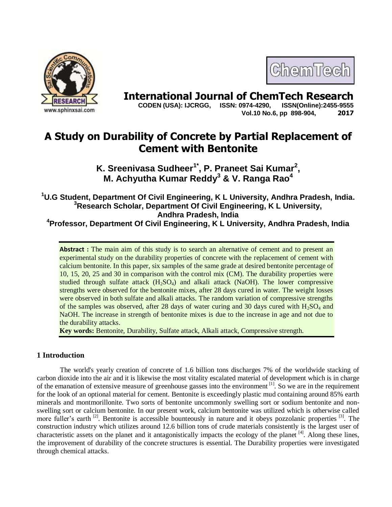

ChemTech

**International Journal of ChemTech Research CODEN (USA): IJCRGG, ISSN: 0974-4290, ISSN(Online):2455-9555** 

 **CODEN (USA): IJCRGG, ISSN: 0974-4290, Vol.10 No.6, pp 898-904, 2017**

# **A Study on Durability of Concrete by Partial Replacement of Cement with Bentonite**

**K. Sreenivasa Sudheer1\* , P. Praneet Sai Kumar<sup>2</sup> , M. Achyutha Kumar Reddy<sup>3</sup> & V. Ranga Rao<sup>4</sup>**

**<sup>1</sup>U.G Student, Department Of Civil Engineering, K L University, Andhra Pradesh, India. <sup>3</sup>Research Scholar, Department Of Civil Engineering, K L University, Andhra Pradesh, India**

**<sup>4</sup>Professor, Department Of Civil Engineering, K L University, Andhra Pradesh, India**

**Abstract :** The main aim of this study is to search an alternative of cement and to present an experimental study on the durability properties of concrete with the replacement of cement with calcium bentonite. In this paper, six samples of the same grade at desired bentonite percentage of 10, 15, 20, 25 and 30 in comparison with the control mix (CM). The durability properties were studied through sulfate attack  $(H_2SO_4)$  and alkali attack (NaOH). The lower compressive strengths were observed for the bentonite mixes, after 28 days cured in water. The weight losses were observed in both sulfate and alkali attacks. The random variation of compressive strengths of the samples was observed, after 28 days of water curing and 30 days cured with  $H_2SO_4$  and NaOH. The increase in strength of bentonite mixes is due to the increase in age and not due to the durability attacks.

**Key words:** Bentonite, Durability, Sulfate attack, Alkali attack, Compressive strength.

# **1 Introduction**

The world's yearly creation of concrete of 1.6 billion tons discharges 7% of the worldwide stacking of carbon dioxide into the air and it is likewise the most vitality escalated material of development which is in charge of the emanation of extensive measure of greenhouse gasses into the environment [1]. So we are in the requirement for the look of an optional material for cement. Bentonite is exceedingly plastic mud containing around 85% earth minerals and montmorillonite. Two sorts of bentonite uncommonly swelling sort or sodium bentonite and nonswelling sort or calcium bentonite. In our present work, calcium bentonite was utilized which is otherwise called more fuller's earth  $^{[2]}$ . Bentonite is accessible bounteously in nature and it obeys pozzolanic properties  $^{[3]}$ . The construction industry which utilizes around 12.6 billion tons of crude materials consistently is the largest user of characteristic assets on the planet and it antagonistically impacts the ecology of the planet  $[4]$ . Along these lines, the improvement of durability of the concrete structures is essential. The Durability properties were investigated through chemical attacks.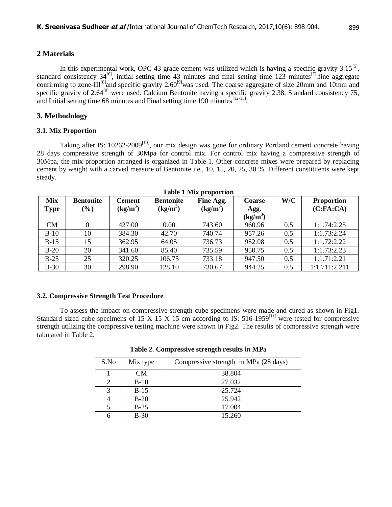#### **2 Materials**

In this experimental work, OPC 43 grade cement was utilized which is having a specific gravity  $3.15^{[5]}$ , standard consistency  $34^{[6]}$ , initial setting time 43 minutes and final setting time 123 minutes<sup>[7]</sup>. fine aggregate confirming to zone-III<sup>[8]</sup>and specific gravity 2.60<sup>[9]</sup>was used. The coarse aggregate of size 20mm and 10mm and specific gravity of 2.64<sup>[9]</sup> were used. Calcium Bentonite having a specific gravity 2.38, Standard consistency 75, and Initial setting time 68 minutes and Final setting time 190 minutes  $[12-15]$ .

## **3. Methodology**

### **3.1. Mix Proportion**

Taking after IS: 10262-2009<sup>[10]</sup>, our mix design was gone for ordinary Portland cement concrete having 28 days compressive strength of 30Mpa for control mix. For control mix having a compressive strength of 30Mpa, the mix proportion arranged is organized in Table 1. Other concrete mixes were prepared by replacing cement by weight with a carved measure of Bentonite i.e., 10, 15, 20, 25, 30 %. Different constituents were kept steady.

| Mix<br>Type | <b>Bentonite</b><br>$(\%)$ | <b>Cement</b><br>$(kg/m^3)$ | <b>Bentonite</b><br>$(kg/m^3)$ | Fine Agg.<br>$(kg/m^3)$ | <b>Coarse</b><br>Agg.<br>$(kg/m^3)$ | W/C | <b>Proportion</b><br>(C:FA:CA) |
|-------------|----------------------------|-----------------------------|--------------------------------|-------------------------|-------------------------------------|-----|--------------------------------|
| <b>CM</b>   |                            | 427.00                      | 0.00                           | 743.60                  | 960.96                              | 0.5 | 1:1.74:2.25                    |
|             |                            |                             |                                |                         |                                     |     |                                |
| $B-10$      | 10                         | 384.30                      | 42.70                          | 740.74                  | 957.26                              | 0.5 | 1:1.73:2.24                    |
| $B-15$      | 15                         | 362.95                      | 64.05                          | 736.73                  | 952.08                              | 0.5 | 1:1.72:2.22                    |
| $B-20$      | 20                         | 341.60                      | 85.40                          | 735.59                  | 950.75                              | 0.5 | 1:1.73:2.23                    |
| $B-25$      | 25                         | 320.25                      | 106.75                         | 733.18                  | 947.50                              | 0.5 | 1:1.71:2.21                    |
| $B-30$      | 30                         | 298.90                      | 128.10                         | 730.67                  | 944.25                              | 0.5 | 1:1.711:2.211                  |

**Table 1 Mix proportion**

### **3.2. Compressive Strength Test Procedure**

To assess the impact on compressive strength cube specimens were made and cured as shown in Fig1. Standard sized cube specimens of 15 X 15 X 15 cm according to IS: 516-1959<sup>[11]</sup> were tested for compressive strength utilizing the compressive testing machine were shown in Fig2. The results of compressive strength were tabulated in Table 2.

| Table 2. Compressive strength results in MPa |  |  |
|----------------------------------------------|--|--|
|                                              |  |  |

| S.No | Mix type | Compressive strength in MPa (28 days) |
|------|----------|---------------------------------------|
|      | CM       | 38.804                                |
|      | $B-10$   | 27.032                                |
|      | $B-15$   | 25.724                                |
|      | $B-20$   | 25.942                                |
|      | $B-25$   | 17.004                                |
|      | $B-30$   | 15.260                                |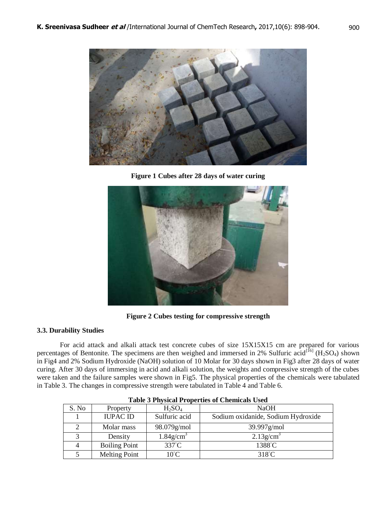

**Figure 1 Cubes after 28 days of water curing**



**Figure 2 Cubes testing for compressive strength**

## **3.3. Durability Studies**

For acid attack and alkali attack test concrete cubes of size 15X15X15 cm are prepared for various percentages of Bentonite. The specimens are then weighed and immersed in 2% Sulfuric acid<sup>[16]</sup> (H<sub>2</sub>SO<sub>4</sub>) shown in Fig4 and 2% Sodium Hydroxide (NaOH) solution of 10 Molar for 30 days shown in Fig3 after 28 days of water curing. After 30 days of immersing in acid and alkali solution, the weights and compressive strength of the cubes were taken and the failure samples were shown in Fig5. The physical properties of the chemicals were tabulated in Table 3. The changes in compressive strength were tabulated in Table 4 and Table 6.

| Tuble e Thypreur Troper mes or Chemicans Csea |                      |                          |                                    |  |  |  |
|-----------------------------------------------|----------------------|--------------------------|------------------------------------|--|--|--|
| S. No                                         | Property             | $H_2SO_4$                | <b>NaOH</b>                        |  |  |  |
|                                               | <b>IUPAC ID</b>      | Sulfuric acid            | Sodium oxidanide, Sodium Hydroxide |  |  |  |
|                                               | Molar mass           | 98.079g/mol              | $39.997$ g/mol                     |  |  |  |
|                                               | Density              | $1.84$ g/cm <sup>3</sup> | $2.13$ g/cm <sup>3</sup>           |  |  |  |
|                                               | <b>Boiling Point</b> | 337°C                    | 1388°C                             |  |  |  |
|                                               | Melting Point        | $10^{\circ}$ C           | $318^{\circ}$ C                    |  |  |  |

| <b>Table 3 Physical Properties of Chemicals Used</b> |  |  |
|------------------------------------------------------|--|--|
|                                                      |  |  |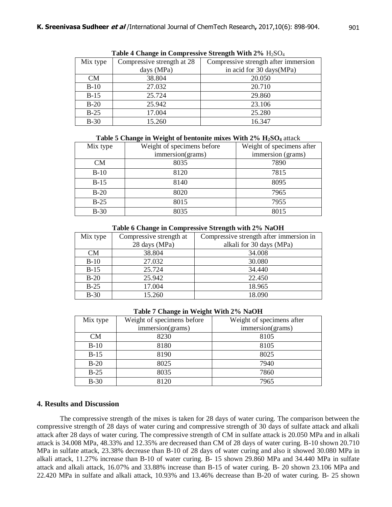| <b>Table + Change in Compressive Strength With <math>270</math></b> $11250q_4$ |                            |                                      |  |  |  |
|--------------------------------------------------------------------------------|----------------------------|--------------------------------------|--|--|--|
| Mix type                                                                       | Compressive strength at 28 | Compressive strength after immersion |  |  |  |
|                                                                                | days (MPa)                 | in acid for 30 days (MPa)            |  |  |  |
| <b>CM</b>                                                                      | 38.804                     | 20.050                               |  |  |  |
| $B-10$                                                                         | 27.032                     | 20.710                               |  |  |  |
| $B-15$                                                                         | 25.724                     | 29.860                               |  |  |  |
| $B-20$                                                                         | 25.942                     | 23.106                               |  |  |  |
| $B-25$                                                                         | 17.004                     | 25.280                               |  |  |  |
| $B-30$                                                                         | 15.260                     | 16.347                               |  |  |  |

Table 4 Change in Compressive Strength With 20/<sub>H2</sub>SO<sub>4</sub>

**Table 5 Change in Weight of bentonite mixes With 2% H2SO<sup>4</sup>** attack

| Mix type | Weight of specimens before | Weight of specimens after |  |
|----------|----------------------------|---------------------------|--|
|          | immersion(grams)           | immersion (grams)         |  |
| CM       | 8035                       | 7890                      |  |
| $B-10$   | 8120                       | 7815                      |  |
| $B-15$   | 8140                       | 8095                      |  |
| $B-20$   | 8020                       | 7965                      |  |
| $B-25$   | 8015                       | 7955                      |  |
| $B-30$   | 8035                       | 8015                      |  |

**Table 6 Change in Compressive Strength with 2% NaOH**

| Mix type | Compressive strength at | Compressive strength after immersion in |
|----------|-------------------------|-----------------------------------------|
|          | 28 days (MPa)           | alkali for 30 days (MPa)                |
| CM       | 38.804                  | 34.008                                  |
| $B-10$   | 27.032                  | 30.080                                  |
| $B-15$   | 25.724                  | 34.440                                  |
| $B-20$   | 25.942                  | 22.450                                  |
| $B-25$   | 17.004                  | 18.965                                  |
| $B-30$   | 15.260                  | 18.090                                  |

**Table 7 Change in Weight With 2% NaOH**

| Mix type  | Weight of specimens before | Weight of specimens after |
|-----------|----------------------------|---------------------------|
|           | immersion(grams)           | immersion(grams)          |
| <b>CM</b> | 8230                       | 8105                      |
| $B-10$    | 8180                       | 8105                      |
| $B-15$    | 8190                       | 8025                      |
| $B-20$    | 8025                       | 7940                      |
| $B-25$    | 8035                       | 7860                      |
| $B-30$    | 8120                       | 7965                      |

## **4. Results and Discussion**

The compressive strength of the mixes is taken for 28 days of water curing. The comparison between the compressive strength of 28 days of water curing and compressive strength of 30 days of sulfate attack and alkali attack after 28 days of water curing. The compressive strength of CM in sulfate attack is 20.050 MPa and in alkali attack is 34.008 MPa, 48.33% and 12.35% are decreased than CM of 28 days of water curing. B-10 shown 20.710 MPa in sulfate attack, 23.38% decrease than B-10 of 28 days of water curing and also it showed 30.080 MPa in alkali attack, 11.27% increase than B-10 of water curing. B- 15 shown 29.860 MPa and 34.440 MPa in sulfate attack and alkali attack, 16.07% and 33.88% increase than B-15 of water curing. B- 20 shown 23.106 MPa and 22.420 MPa in sulfate and alkali attack, 10.93% and 13.46% decrease than B-20 of water curing. B- 25 shown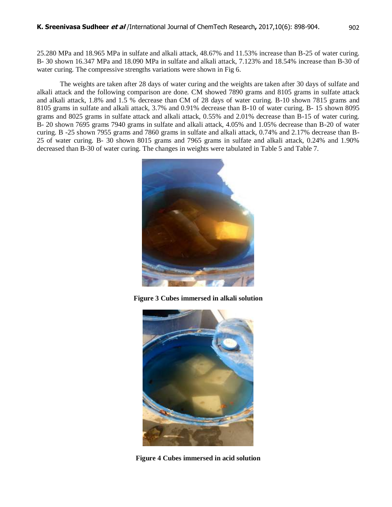25.280 MPa and 18.965 MPa in sulfate and alkali attack, 48.67% and 11.53% increase than B-25 of water curing. B- 30 shown 16.347 MPa and 18.090 MPa in sulfate and alkali attack, 7.123% and 18.54% increase than B-30 of water curing. The compressive strengths variations were shown in Fig 6.

The weights are taken after 28 days of water curing and the weights are taken after 30 days of sulfate and alkali attack and the following comparison are done. CM showed 7890 grams and 8105 grams in sulfate attack and alkali attack, 1.8% and 1.5 % decrease than CM of 28 days of water curing. B-10 shown 7815 grams and 8105 grams in sulfate and alkali attack, 3.7% and 0.91% decrease than B-10 of water curing. B- 15 shown 8095 grams and 8025 grams in sulfate attack and alkali attack, 0.55% and 2.01% decrease than B-15 of water curing. B- 20 shown 7695 grams 7940 grams in sulfate and alkali attack, 4.05% and 1.05% decrease than B-20 of water curing. B -25 shown 7955 grams and 7860 grams in sulfate and alkali attack, 0.74% and 2.17% decrease than B-25 of water curing. B- 30 shown 8015 grams and 7965 grams in sulfate and alkali attack, 0.24% and 1.90% decreased than B-30 of water curing. The changes in weights were tabulated in Table 5 and Table 7.



**Figure 3 Cubes immersed in alkali solution**



**Figure 4 Cubes immersed in acid solution**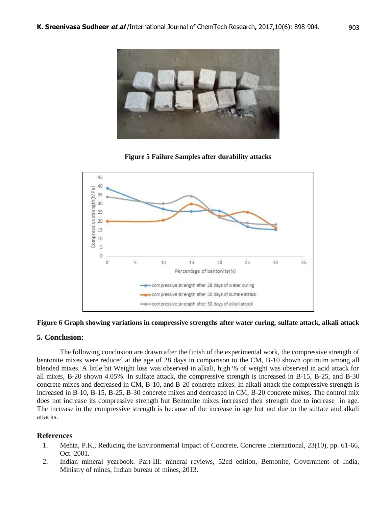

**Figure 5 Failure Samples after durability attacks**



#### **Figure 6 Graph showing variations in compressive strengths after water curing, sulfate attack, alkali attack**

#### **5. Conclusion:**

The following conclusion are drawn after the finish of the experimental work, the compressive strength of bentonite mixes were reduced at the age of 28 days in comparison to the CM, B-10 shown optimum among all blended mixes. A little bit Weight loss was observed in alkali, high % of weight was observed in acid attack for all mixes, B-20 shown 4.05%. In sulfate attack, the compressive strength is increased in B-15, B-25, and B-30 concrete mixes and decreased in CM, B-10, and B-20 concrete mixes. In alkali attack the compressive strength is increased in B-10, B-15, B-25, B-30 concrete mixes and decreased in CM, B-20 concrete mixes. The control mix does not increase its compressive strength but Bentonite mixes increased their strength due to increase in age. The increase in the compressive strength is because of the increase in age but not due to the sulfate and alkali attacks.

### **References**

- 1. Mehta, P.K., Reducing the Environmental Impact of Concrete, Concrete International, 23(10), pp. 61-66, Oct. 2001.
- 2. Indian mineral yearbook. Part-III: mineral reviews, 52ed edition, Bentonite, Government of India, Ministry of mines, Indian bureau of mines, 2013.